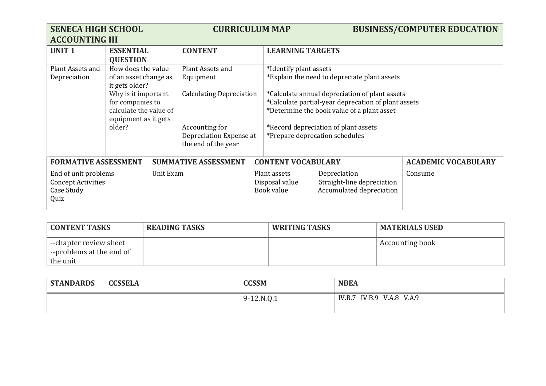| <b>SENECA HIGH SCHOOL</b><br><b>ACCOUNTING III</b> |                                         |           | <b>CURRICULUM MAP</b>           |  |                                                     | <b>BUSINESS/COMPUTER EDUCATION</b>             |                            |
|----------------------------------------------------|-----------------------------------------|-----------|---------------------------------|--|-----------------------------------------------------|------------------------------------------------|----------------------------|
| <b>UNIT1</b>                                       | <b>ESSENTIAL</b><br><b>QUESTION</b>     |           | <b>CONTENT</b>                  |  | <b>LEARNING TARGETS</b>                             |                                                |                            |
| Plant Assets and                                   | How does the value                      |           | Plant Assets and                |  | *Identify plant assets                              |                                                |                            |
| Depreciation                                       | of an asset change as<br>it gets older? |           | Equipment                       |  |                                                     | *Explain the need to depreciate plant assets   |                            |
|                                                    | Why is it important                     |           | <b>Calculating Depreciation</b> |  |                                                     | *Calculate annual depreciation of plant assets |                            |
|                                                    | for companies to                        |           |                                 |  | *Calculate partial-year deprecation of plant assets |                                                |                            |
|                                                    | calculate the value of                  |           |                                 |  | *Determine the book value of a plant asset          |                                                |                            |
|                                                    | equipment as it gets<br>older?          |           | Accounting for                  |  | *Record depreciation of plant assets                |                                                |                            |
|                                                    |                                         |           | Depreciation Expense at         |  | *Prepare deprecation schedules                      |                                                |                            |
|                                                    |                                         |           | the end of the year             |  |                                                     |                                                |                            |
|                                                    |                                         |           |                                 |  |                                                     |                                                |                            |
| <b>FORMATIVE ASSESSMENT</b>                        |                                         |           | <b>SUMMATIVE ASSESSMENT</b>     |  | <b>CONTENT VOCABULARY</b>                           |                                                | <b>ACADEMIC VOCABULARY</b> |
| End of unit problems                               |                                         | Unit Exam |                                 |  | Plant assets                                        | Depreciation                                   | Consume                    |
| <b>Concept Activities</b>                          |                                         |           |                                 |  | Disposal value                                      | Straight-line depreciation                     |                            |
| Case Study                                         |                                         |           |                                 |  | Book value                                          | Accumulated depreciation                       |                            |
| Quiz                                               |                                         |           |                                 |  |                                                     |                                                |                            |

| <b>CONTENT TASKS</b>                               | <b>READING TASKS</b> | <b>WRITING TASKS</b> | <b>MATERIALS USED</b> |
|----------------------------------------------------|----------------------|----------------------|-----------------------|
| --chapter review sheet<br>--problems at the end of |                      |                      | Accounting book       |
| the unit                                           |                      |                      |                       |

| <b>STANDARDS</b> | <b>CCSSELA</b> | <b>CCSSM</b> | <b>NBEA</b>               |  |
|------------------|----------------|--------------|---------------------------|--|
|                  |                | $9-12.N.Q.1$ | IV.B.7 IV.B.9 V.A.8 V.A.9 |  |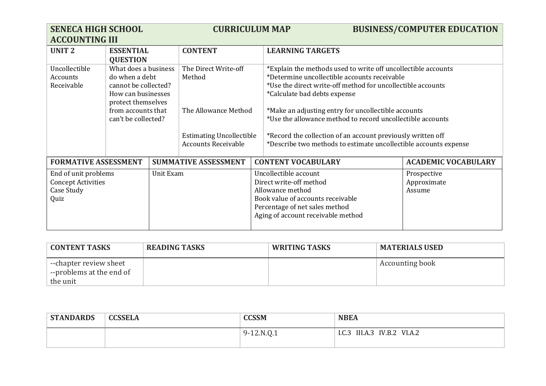| <b>SENECA HIGH SCHOOL</b><br><b>ACCOUNTING III</b>                                   |                                                                                                                                                         |  | <b>CURRICULUM MAP</b>                                                                                                                                                             |                                                                                                                                                                                                                                                                                                                                                                                                                                                                      | <b>BUSINESS/COMPUTER EDUCATION</b> |
|--------------------------------------------------------------------------------------|---------------------------------------------------------------------------------------------------------------------------------------------------------|--|-----------------------------------------------------------------------------------------------------------------------------------------------------------------------------------|----------------------------------------------------------------------------------------------------------------------------------------------------------------------------------------------------------------------------------------------------------------------------------------------------------------------------------------------------------------------------------------------------------------------------------------------------------------------|------------------------------------|
| <b>UNIT 2</b>                                                                        | <b>ESSENTIAL</b><br><b>QUESTION</b>                                                                                                                     |  | <b>CONTENT</b>                                                                                                                                                                    | <b>LEARNING TARGETS</b>                                                                                                                                                                                                                                                                                                                                                                                                                                              |                                    |
| Uncollectible<br>Accounts<br>Receivable                                              | What does a business<br>do when a debt<br>cannot be collected?<br>How can businesses<br>protect themselves<br>from accounts that<br>can't be collected? |  | The Direct Write-off<br>Method<br>The Allowance Method<br><b>Estimating Uncollectible</b><br><b>Accounts Receivable</b>                                                           | *Explain the methods used to write off uncollectible accounts<br>*Determine uncollectible accounts receivable<br>*Use the direct write-off method for uncollectible accounts<br>*Calculate bad debts expense<br>*Make an adjusting entry for uncollectible accounts<br>*Use the allowance method to record uncollectible accounts<br>*Record the collection of an account previously written off<br>*Describe two methods to estimate uncollectible accounts expense |                                    |
| <b>FORMATIVE ASSESSMENT</b>                                                          |                                                                                                                                                         |  | <b>SUMMATIVE ASSESSMENT</b>                                                                                                                                                       | <b>CONTENT VOCABULARY</b>                                                                                                                                                                                                                                                                                                                                                                                                                                            | <b>ACADEMIC VOCABULARY</b>         |
| End of unit problems<br>Unit Exam<br><b>Concept Activities</b><br>Case Study<br>Quiz |                                                                                                                                                         |  | Uncollectible account<br>Direct write-off method<br>Allowance method<br>Book value of accounts receivable<br>Percentage of net sales method<br>Aging of account receivable method | Prospective<br>Approximate<br>Assume                                                                                                                                                                                                                                                                                                                                                                                                                                 |                                    |

| <b>CONTENT TASKS</b>                                              | <b>READING TASKS</b> | <b>WRITING TASKS</b> | <b>MATERIALS USED</b> |
|-------------------------------------------------------------------|----------------------|----------------------|-----------------------|
| --chapter review sheet<br>$\overline{ }$ --problems at the end of |                      |                      | Accounting book       |
| the unit                                                          |                      |                      |                       |

| <b>STANDARDS</b> | <b>CCSSELA</b> | <b>CCSSM</b> | <b>NBEA</b>                 |  |
|------------------|----------------|--------------|-----------------------------|--|
|                  |                | $9-12.N.0.1$ | I.C.3 III.A.3 IV.B.2 VI.A.2 |  |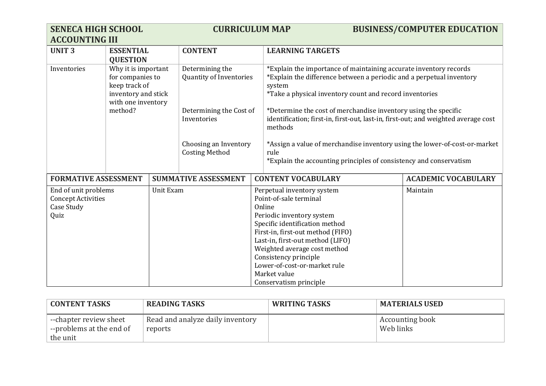| <b>SENECA HIGH SCHOOL</b><br><b>ACCOUNTING III</b>                      |                                                                                                       | <b>CURRICULUM MAP</b> |                                                   |                                                                                                                                                                                                                                                                                                                                           |                                                                                                                                                                                                                | <b>BUSINESS/COMPUTER EDUCATION</b> |                            |
|-------------------------------------------------------------------------|-------------------------------------------------------------------------------------------------------|-----------------------|---------------------------------------------------|-------------------------------------------------------------------------------------------------------------------------------------------------------------------------------------------------------------------------------------------------------------------------------------------------------------------------------------------|----------------------------------------------------------------------------------------------------------------------------------------------------------------------------------------------------------------|------------------------------------|----------------------------|
| <b>UNIT3</b>                                                            | <b>ESSENTIAL</b><br><b>QUESTION</b>                                                                   |                       | <b>CONTENT</b>                                    |                                                                                                                                                                                                                                                                                                                                           | <b>LEARNING TARGETS</b>                                                                                                                                                                                        |                                    |                            |
| Inventories                                                             | Why it is important<br>for companies to<br>keep track of<br>inventory and stick<br>with one inventory |                       | Determining the<br><b>Quantity of Inventories</b> |                                                                                                                                                                                                                                                                                                                                           | *Explain the importance of maintaining accurate inventory records<br>*Explain the difference between a periodic and a perpetual inventory<br>system<br>*Take a physical inventory count and record inventories |                                    |                            |
|                                                                         | method?                                                                                               |                       | Determining the Cost of<br>Inventories            |                                                                                                                                                                                                                                                                                                                                           | *Determine the cost of merchandise inventory using the specific<br>identification; first-in, first-out, last-in, first-out; and weighted average cost<br>methods                                               |                                    |                            |
|                                                                         |                                                                                                       |                       | Choosing an Inventory<br><b>Costing Method</b>    |                                                                                                                                                                                                                                                                                                                                           | *Assign a value of merchandise inventory using the lower-of-cost-or-market<br>rule<br>*Explain the accounting principles of consistency and conservatism                                                       |                                    |                            |
| <b>FORMATIVE ASSESSMENT</b>                                             |                                                                                                       |                       | <b>SUMMATIVE ASSESSMENT</b>                       |                                                                                                                                                                                                                                                                                                                                           | <b>CONTENT VOCABULARY</b>                                                                                                                                                                                      |                                    | <b>ACADEMIC VOCABULARY</b> |
| End of unit problems<br><b>Concept Activities</b><br>Case Study<br>Quiz |                                                                                                       | Unit Exam             |                                                   | Perpetual inventory system<br>Point-of-sale terminal<br>Online<br>Periodic inventory system<br>Specific identification method<br>First-in, first-out method (FIFO)<br>Last-in, first-out method (LIFO)<br>Weighted average cost method<br>Consistency principle<br>Lower-of-cost-or-market rule<br>Market value<br>Conservatism principle |                                                                                                                                                                                                                |                                    | Maintain                   |

| <b>CONTENT TASKS</b>                                           | <b>READING TASKS</b>                        | <b>WRITING TASKS</b> | <b>MATERIALS USED</b>               |
|----------------------------------------------------------------|---------------------------------------------|----------------------|-------------------------------------|
| --chapter review sheet<br>--problems at the end of<br>the unit | Read and analyze daily inventory<br>reports |                      | <b>Accounting book</b><br>Web links |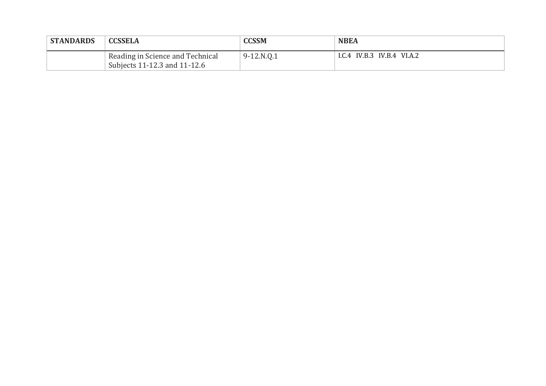| <b>STANDARDS</b> | <b>CCSSELA</b>                                                   | <b>CCSSM</b> | <b>NBEA</b>                |  |
|------------------|------------------------------------------------------------------|--------------|----------------------------|--|
|                  | Reading in Science and Technical<br>Subjects 11-12.3 and 11-12.6 | $9-12.N.Q.1$ | I.C.4 IV.B.3 IV.B.4 VI.A.2 |  |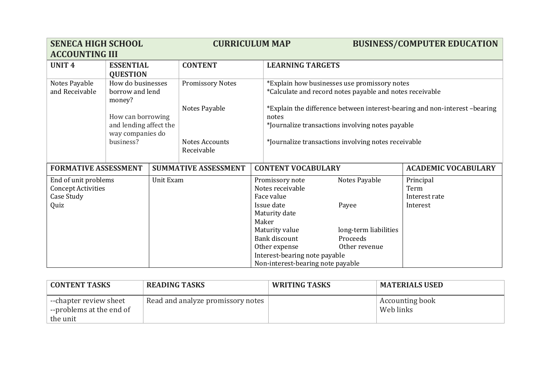| <b>SENECA HIGH SCHOOL</b>   |                               |           | <b>CURRICULUM MAP</b>        |                  |                                                                                                                                                                |                                                    | <b>BUSINESS/COMPUTER EDUCATION</b>                                        |
|-----------------------------|-------------------------------|-----------|------------------------------|------------------|----------------------------------------------------------------------------------------------------------------------------------------------------------------|----------------------------------------------------|---------------------------------------------------------------------------|
| <b>ACCOUNTING III</b>       |                               |           |                              |                  |                                                                                                                                                                |                                                    |                                                                           |
| <b>UNIT4</b>                | <b>ESSENTIAL</b>              |           | <b>CONTENT</b>               |                  | <b>LEARNING TARGETS</b>                                                                                                                                        |                                                    |                                                                           |
|                             | <b>QUESTION</b>               |           |                              |                  |                                                                                                                                                                |                                                    |                                                                           |
| Notes Payable               | How do businesses             |           | <b>Promissory Notes</b>      |                  | *Explain how businesses use promissory notes                                                                                                                   |                                                    |                                                                           |
| and Receivable              | borrow and lend<br>money?     |           |                              |                  | *Calculate and record notes payable and notes receivable                                                                                                       |                                                    |                                                                           |
|                             |                               |           | Notes Payable                |                  |                                                                                                                                                                |                                                    | *Explain the difference between interest-bearing and non-interest-bearing |
|                             | How can borrowing             |           |                              |                  | notes                                                                                                                                                          |                                                    |                                                                           |
|                             | and lending affect the        |           |                              |                  | *Journalize transactions involving notes payable                                                                                                               |                                                    |                                                                           |
|                             | way companies do<br>business? |           |                              |                  | *Journalize transactions involving notes receivable                                                                                                            |                                                    |                                                                           |
|                             |                               |           |                              |                  |                                                                                                                                                                |                                                    |                                                                           |
|                             |                               |           |                              |                  |                                                                                                                                                                |                                                    |                                                                           |
| <b>FORMATIVE ASSESSMENT</b> |                               |           | <b>SUMMATIVE ASSESSMENT</b>  |                  | <b>CONTENT VOCABULARY</b>                                                                                                                                      |                                                    | <b>ACADEMIC VOCABULARY</b>                                                |
| End of unit problems        |                               | Unit Exam |                              |                  | Promissory note                                                                                                                                                | Notes Payable                                      | Principal                                                                 |
| <b>Concept Activities</b>   |                               |           |                              | Notes receivable |                                                                                                                                                                |                                                    | Term                                                                      |
|                             |                               |           |                              | Face value       |                                                                                                                                                                |                                                    |                                                                           |
|                             |                               |           |                              |                  |                                                                                                                                                                | Payee                                              | Interest                                                                  |
|                             |                               |           |                              |                  |                                                                                                                                                                |                                                    |                                                                           |
|                             |                               |           |                              |                  |                                                                                                                                                                |                                                    |                                                                           |
|                             |                               |           |                              |                  |                                                                                                                                                                |                                                    |                                                                           |
|                             |                               |           |                              |                  |                                                                                                                                                                |                                                    |                                                                           |
|                             |                               |           |                              |                  |                                                                                                                                                                |                                                    |                                                                           |
|                             |                               |           |                              |                  |                                                                                                                                                                |                                                    |                                                                           |
| Case Study<br>Quiz          |                               |           | Notes Accounts<br>Receivable |                  | Issue date<br>Maturity date<br>Maker<br>Maturity value<br>Bank discount<br>Other expense<br>Interest-bearing note payable<br>Non-interest-bearing note payable | long-term liabilities<br>Proceeds<br>Other revenue | Interest rate                                                             |

| <b>CONTENT TASKS</b>                               | <b>READING TASKS</b>              | <b>WRITING TASKS</b> | <b>MATERIALS USED</b>               |
|----------------------------------------------------|-----------------------------------|----------------------|-------------------------------------|
| --chapter review sheet<br>--problems at the end of | Read and analyze promissory notes |                      | <b>Accounting book</b><br>Web links |
| the unit                                           |                                   |                      |                                     |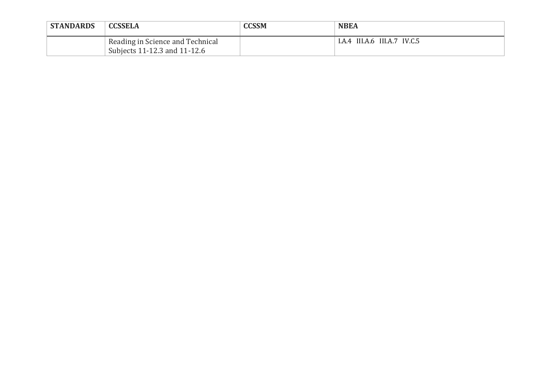| <b>STANDARDS</b> | <b>CCSSELA</b>                                                   | CCSSM | <b>NBEA</b>                  |  |
|------------------|------------------------------------------------------------------|-------|------------------------------|--|
|                  | Reading in Science and Technical<br>Subjects 11-12.3 and 11-12.6 |       | I.A.4 III.A.6 III.A.7 IV.C.5 |  |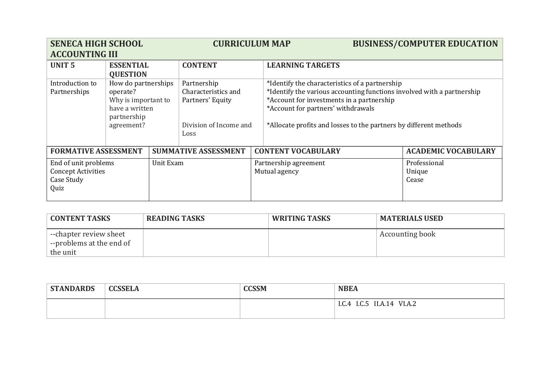| <b>SENECA HIGH SCHOOL</b><br><b>ACCOUNTING III</b>                                   |                                                                                                       |  | <b>CURRICULUM MAP</b>                                                                    |                                        |                                                                                                                                                                                                                                                                                  |                                 | <b>BUSINESS/COMPUTER EDUCATION</b> |
|--------------------------------------------------------------------------------------|-------------------------------------------------------------------------------------------------------|--|------------------------------------------------------------------------------------------|----------------------------------------|----------------------------------------------------------------------------------------------------------------------------------------------------------------------------------------------------------------------------------------------------------------------------------|---------------------------------|------------------------------------|
| <b>UNIT 5</b>                                                                        | <b>ESSENTIAL</b><br><b>QUESTION</b>                                                                   |  | <b>CONTENT</b>                                                                           |                                        | <b>LEARNING TARGETS</b>                                                                                                                                                                                                                                                          |                                 |                                    |
| Introduction to<br>Partnerships                                                      | How do partnerships<br>operate?<br>Why is important to<br>have a written<br>partnership<br>agreement? |  | Partnership<br>Characteristics and<br>Partners' Equity<br>Division of Income and<br>Loss |                                        | *Identify the characteristics of a partnership<br>*Identify the various accounting functions involved with a partnership<br>*Account for investments in a partnership<br>*Account for partners' withdrawals<br>*Allocate profits and losses to the partners by different methods |                                 |                                    |
| <b>FORMATIVE ASSESSMENT</b>                                                          |                                                                                                       |  | <b>SUMMATIVE ASSESSMENT</b>                                                              |                                        | <b>CONTENT VOCABULARY</b>                                                                                                                                                                                                                                                        |                                 | <b>ACADEMIC VOCABULARY</b>         |
| End of unit problems<br>Unit Exam<br><b>Concept Activities</b><br>Case Study<br>Quiz |                                                                                                       |  |                                                                                          | Partnership agreement<br>Mutual agency |                                                                                                                                                                                                                                                                                  | Professional<br>Unique<br>Cease |                                    |

| <b>CONTENT TASKS</b>                               | <b>READING TASKS</b> | <b>WRITING TASKS</b> | <b>MATERIALS USED</b> |
|----------------------------------------------------|----------------------|----------------------|-----------------------|
| --chapter review sheet<br>--problems at the end of |                      |                      | Accounting book       |
| the unit                                           |                      |                      |                       |

| <b>STANDARDS</b> | <b>CCSSELA</b> | <b>CCSSM</b> | <b>NBEA</b>                         |  |
|------------------|----------------|--------------|-------------------------------------|--|
|                  |                |              | I.C.5<br>VI.A.2<br>1.C.4<br>II.A.14 |  |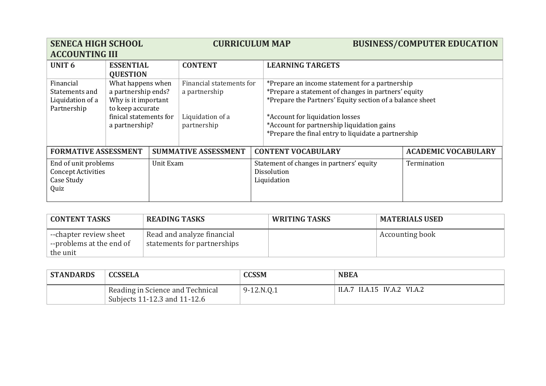| <b>SENECA HIGH SCHOOL</b>                                                            |                                                                                                                                 |                                                                        | <b>CURRICULUM MAP</b>                                                        |                                                                                                                                                                                                                                                                                                           | <b>BUSINESS/COMPUTER EDUCATION</b> |
|--------------------------------------------------------------------------------------|---------------------------------------------------------------------------------------------------------------------------------|------------------------------------------------------------------------|------------------------------------------------------------------------------|-----------------------------------------------------------------------------------------------------------------------------------------------------------------------------------------------------------------------------------------------------------------------------------------------------------|------------------------------------|
| <b>ACCOUNTING III</b><br><b>UNIT 6</b>                                               | <b>ESSENTIAL</b><br><b>QUESTION</b>                                                                                             |                                                                        | <b>CONTENT</b>                                                               | <b>LEARNING TARGETS</b>                                                                                                                                                                                                                                                                                   |                                    |
| Financial<br>Statements and<br>Liquidation of a<br>Partnership                       | What happens when<br>a partnership ends?<br>Why is it important<br>to keep accurate<br>finical statements for<br>a partnership? |                                                                        | Financial statements for<br>a partnership<br>Liquidation of a<br>partnership | *Prepare an income statement for a partnership<br>*Prepare a statement of changes in partners' equity<br>*Prepare the Partners' Equity section of a balance sheet<br>*Account for liquidation losses<br>*Account for partnership liquidation gains<br>*Prepare the final entry to liquidate a partnership |                                    |
| <b>FORMATIVE ASSESSMENT</b>                                                          |                                                                                                                                 |                                                                        | <b>SUMMATIVE ASSESSMENT</b>                                                  | <b>CONTENT VOCABULARY</b>                                                                                                                                                                                                                                                                                 | <b>ACADEMIC VOCABULARY</b>         |
| End of unit problems<br>Unit Exam<br><b>Concept Activities</b><br>Case Study<br>Quiz |                                                                                                                                 | Statement of changes in partners' equity<br>Dissolution<br>Liquidation |                                                                              | Termination                                                                                                                                                                                                                                                                                               |                                    |

| <b>CONTENT TASKS</b>                                           | <b>READING TASKS</b>                                      | <b>WRITING TASKS</b> | <b>MATERIALS USED</b> |
|----------------------------------------------------------------|-----------------------------------------------------------|----------------------|-----------------------|
| --chapter review sheet<br>--problems at the end of<br>the unit | Read and analyze financial<br>statements for partnerships |                      | Accounting book       |

| <b>STANDARDS</b> | <b>CCSSELA</b>                                                   | CCSSM      | <b>NBEA</b>                  |
|------------------|------------------------------------------------------------------|------------|------------------------------|
|                  | Reading in Science and Technical<br>Subjects 11-12.3 and 11-12.6 | 9-12.N.Q.1 | II.A.7 II.A.15 IV.A.2 VI.A.2 |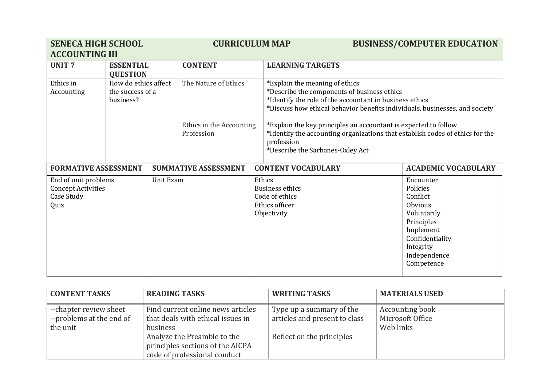| <b>SENECA HIGH SCHOOL</b>   |                      | <b>CURRICULUM MAP</b> |                             | <b>BUSINESS/COMPUTER EDUCATION</b> |                                                                                                                                                  |                            |  |
|-----------------------------|----------------------|-----------------------|-----------------------------|------------------------------------|--------------------------------------------------------------------------------------------------------------------------------------------------|----------------------------|--|
| <b>ACCOUNTING III</b>       |                      |                       |                             |                                    |                                                                                                                                                  |                            |  |
| <b>UNIT7</b>                | <b>ESSENTIAL</b>     |                       | <b>CONTENT</b>              |                                    | <b>LEARNING TARGETS</b>                                                                                                                          |                            |  |
|                             | <b>QUESTION</b>      |                       |                             |                                    |                                                                                                                                                  |                            |  |
| Ethics in                   | How do ethics affect |                       | The Nature of Ethics        |                                    | *Explain the meaning of ethics                                                                                                                   |                            |  |
| Accounting                  | the success of a     |                       |                             |                                    | *Describe the components of business ethics                                                                                                      |                            |  |
|                             | business?            |                       |                             |                                    | *Identify the role of the accountant in business ethics                                                                                          |                            |  |
|                             |                      |                       |                             |                                    | *Discuss how ethical behavior benefits individuals, businesses, and society                                                                      |                            |  |
|                             |                      |                       | Ethics in the Accounting    |                                    |                                                                                                                                                  |                            |  |
|                             |                      |                       | Profession                  |                                    | *Explain the key principles an accountant is expected to follow<br>*Identify the accounting organizations that establish codes of ethics for the |                            |  |
|                             |                      |                       |                             |                                    | profession                                                                                                                                       |                            |  |
|                             |                      |                       |                             |                                    | *Describe the Sarbanes-Oxley Act                                                                                                                 |                            |  |
|                             |                      |                       |                             |                                    |                                                                                                                                                  |                            |  |
| <b>FORMATIVE ASSESSMENT</b> |                      |                       | <b>SUMMATIVE ASSESSMENT</b> |                                    | <b>CONTENT VOCABULARY</b>                                                                                                                        | <b>ACADEMIC VOCABULARY</b> |  |
| End of unit problems        |                      | Unit Exam             |                             | Ethics                             |                                                                                                                                                  | Encounter                  |  |
| <b>Concept Activities</b>   |                      |                       |                             |                                    | <b>Business ethics</b>                                                                                                                           | Policies                   |  |
| Case Study                  |                      |                       |                             |                                    | Code of ethics                                                                                                                                   | Conflict                   |  |
| Quiz                        |                      |                       |                             |                                    | Ethics officer                                                                                                                                   | <b>Obvious</b>             |  |
|                             |                      |                       |                             |                                    | Objectivity                                                                                                                                      | Voluntarily                |  |
|                             |                      |                       |                             |                                    |                                                                                                                                                  | Principles                 |  |
|                             |                      |                       |                             |                                    |                                                                                                                                                  | Implement                  |  |
|                             |                      |                       |                             |                                    |                                                                                                                                                  | Confidentiality            |  |
|                             |                      |                       |                             |                                    |                                                                                                                                                  | Integrity                  |  |
|                             |                      |                       |                             |                                    |                                                                                                                                                  | Independence<br>Competence |  |
|                             |                      |                       |                             |                                    |                                                                                                                                                  |                            |  |

| <b>CONTENT TASKS</b>     | <b>READING TASKS</b>              | <b>WRITING TASKS</b>          | <b>MATERIALS USED</b> |
|--------------------------|-----------------------------------|-------------------------------|-----------------------|
| --chapter review sheet   | Find current online news articles | Type up a summary of the      | Accounting book       |
| --problems at the end of | that deals with ethical issues in | articles and present to class | Microsoft Office      |
| the unit                 | business                          |                               | Web links             |
|                          | Analyze the Preamble to the       | Reflect on the principles     |                       |
|                          | principles sections of the AICPA  |                               |                       |
|                          | code of professional conduct      |                               |                       |